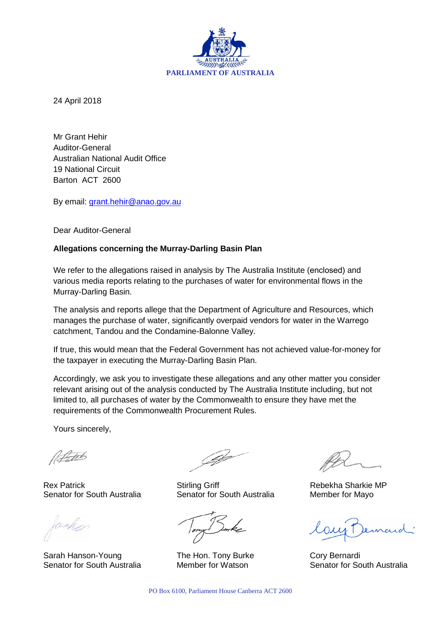

24 April 2018

Mr Grant Hehir Auditor-General Australian National Audit Office 19 National Circuit Barton ACT 2600

By email: [grant.hehir@anao.gov.au](mailto:grant.hehir@anao.gov.au)

Dear Auditor-General

#### **Allegations concerning the Murray-Darling Basin Plan**

We refer to the allegations raised in analysis by The Australia Institute (enclosed) and various media reports relating to the purchases of water for environmental flows in the Murray-Darling Basin.

The analysis and reports allege that the Department of Agriculture and Resources, which manages the purchase of water, significantly overpaid vendors for water in the Warrego catchment, Tandou and the Condamine-Balonne Valley.

If true, this would mean that the Federal Government has not achieved value-for-money for the taxpayer in executing the Murray-Darling Basin Plan.

Accordingly, we ask you to investigate these allegations and any other matter you consider relevant arising out of the analysis conducted by The Australia Institute including, but not limited to, all purchases of water by the Commonwealth to ensure they have met the requirements of the Commonwealth Procurement Rules.

Yours sincerely,

l H.tab

Sarah Hanson-Young The Hon. Tony Burke Cory Bernardi

Rex Patrick **Network Stirling Griff** Rebekha Sharkie MP Senator for South Australia Senator for South Australia Member for Mayo

Senator for South Australia Member for Watson Senator for South Australia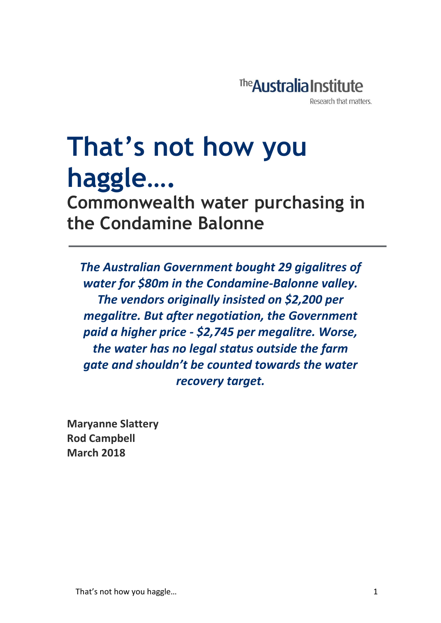

# **That's not how you haggle….**

**Commonwealth water purchasing in the Condamine Balonne**

*The Australian Government bought 29 gigalitres of water for \$80m in the Condamine-Balonne valley. The vendors originally insisted on \$2,200 per megalitre. But after negotiation, the Government paid a higher price - \$2,745 per megalitre. Worse, the water has no legal status outside the farm gate and shouldn't be counted towards the water recovery target.* 

**Maryanne Slattery Rod Campbell March 2018**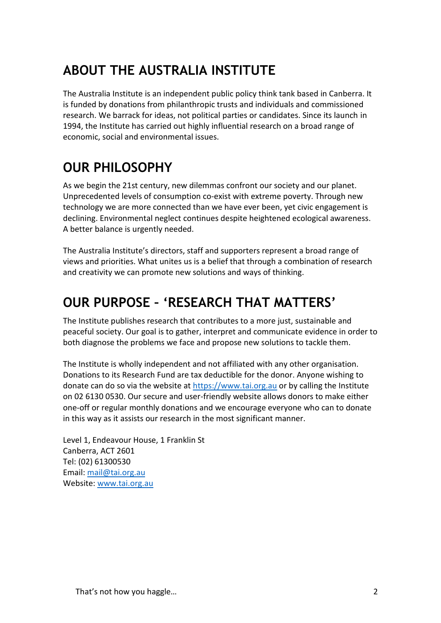# **ABOUT THE AUSTRALIA INSTITUTE**

The Australia Institute is an independent public policy think tank based in Canberra. It is funded by donations from philanthropic trusts and individuals and commissioned research. We barrack for ideas, not political parties or candidates. Since its launch in 1994, the Institute has carried out highly influential research on a broad range of economic, social and environmental issues.

# **OUR PHILOSOPHY**

As we begin the 21st century, new dilemmas confront our society and our planet. Unprecedented levels of consumption co-exist with extreme poverty. Through new technology we are more connected than we have ever been, yet civic engagement is declining. Environmental neglect continues despite heightened ecological awareness. A better balance is urgently needed.

The Australia Institute's directors, staff and supporters represent a broad range of views and priorities. What unites us is a belief that through a combination of research and creativity we can promote new solutions and ways of thinking.

# **OUR PURPOSE – 'RESEARCH THAT MATTERS'**

The Institute publishes research that contributes to a more just, sustainable and peaceful society. Our goal is to gather, interpret and communicate evidence in order to both diagnose the problems we face and propose new solutions to tackle them.

The Institute is wholly independent and not affiliated with any other organisation. Donations to its Research Fund are tax deductible for the donor. Anyone wishing to donate can do so via the website at [https://www.tai.org.au](https://www.tai.org.au/) or by calling the Institute on 02 6130 0530. Our secure and user-friendly website allows donors to make either one-off or regular monthly donations and we encourage everyone who can to donate in this way as it assists our research in the most significant manner.

Level 1, Endeavour House, 1 Franklin St Canberra, ACT 2601 Tel: (02) 61300530 Email[: mail@tai.org.au](mailto:mail@tai.org.au) Website: [www.tai.org.au](http://www.tai.org.au/)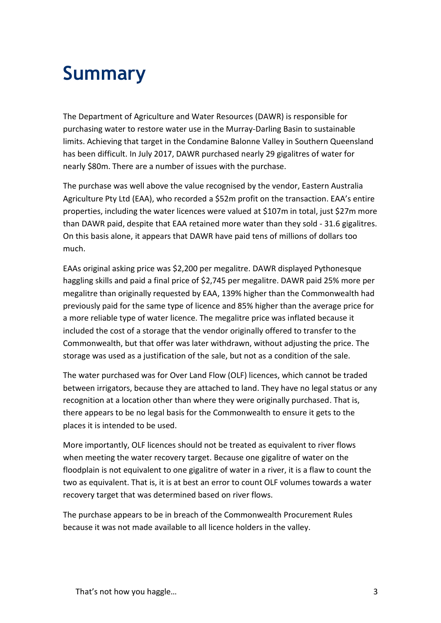# **Summary**

The Department of Agriculture and Water Resources (DAWR) is responsible for purchasing water to restore water use in the Murray-Darling Basin to sustainable limits. Achieving that target in the Condamine Balonne Valley in Southern Queensland has been difficult. In July 2017, DAWR purchased nearly 29 gigalitres of water for nearly \$80m. There are a number of issues with the purchase.

The purchase was well above the value recognised by the vendor, Eastern Australia Agriculture Pty Ltd (EAA), who recorded a \$52m profit on the transaction. EAA's entire properties, including the water licences were valued at \$107m in total, just \$27m more than DAWR paid, despite that EAA retained more water than they sold - 31.6 gigalitres. On this basis alone, it appears that DAWR have paid tens of millions of dollars too much.

EAAs original asking price was \$2,200 per megalitre. DAWR displayed Pythonesque haggling skills and paid a final price of \$2,745 per megalitre. DAWR paid 25% more per megalitre than originally requested by EAA, 139% higher than the Commonwealth had previously paid for the same type of licence and 85% higher than the average price for a more reliable type of water licence. The megalitre price was inflated because it included the cost of a storage that the vendor originally offered to transfer to the Commonwealth, but that offer was later withdrawn, without adjusting the price. The storage was used as a justification of the sale, but not as a condition of the sale.

The water purchased was for Over Land Flow (OLF) licences, which cannot be traded between irrigators, because they are attached to land. They have no legal status or any recognition at a location other than where they were originally purchased. That is, there appears to be no legal basis for the Commonwealth to ensure it gets to the places it is intended to be used.

More importantly, OLF licences should not be treated as equivalent to river flows when meeting the water recovery target. Because one gigalitre of water on the floodplain is not equivalent to one gigalitre of water in a river, it is a flaw to count the two as equivalent. That is, it is at best an error to count OLF volumes towards a water recovery target that was determined based on river flows.

The purchase appears to be in breach of the Commonwealth Procurement Rules because it was not made available to all licence holders in the valley.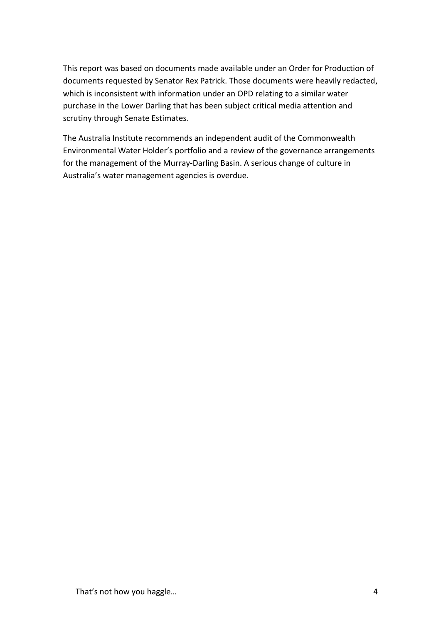This report was based on documents made available under an Order for Production of documents requested by Senator Rex Patrick. Those documents were heavily redacted, which is inconsistent with information under an OPD relating to a similar water purchase in the Lower Darling that has been subject critical media attention and scrutiny through Senate Estimates.

The Australia Institute recommends an independent audit of the Commonwealth Environmental Water Holder's portfolio and a review of the governance arrangements for the management of the Murray-Darling Basin. A serious change of culture in Australia's water management agencies is overdue.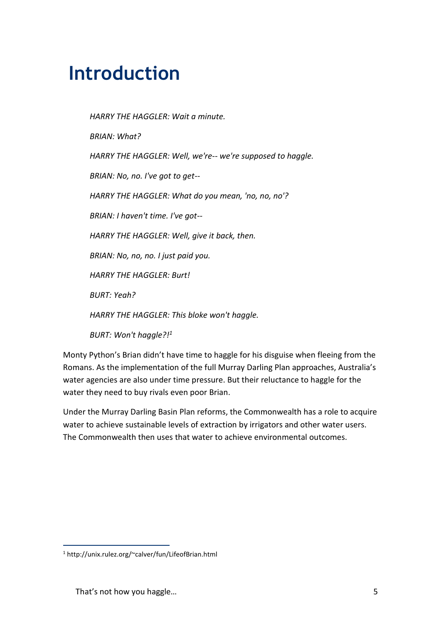# **Introduction**

*HARRY THE HAGGLER: Wait a minute. BRIAN: What? HARRY THE HAGGLER: Well, we're-- we're supposed to haggle. BRIAN: No, no. I've got to get-- HARRY THE HAGGLER: What do you mean, 'no, no, no'? BRIAN: I haven't time. I've got-- HARRY THE HAGGLER: Well, give it back, then. BRIAN: No, no, no. I just paid you. HARRY THE HAGGLER: Burt! BURT: Yeah? HARRY THE HAGGLER: This bloke won't haggle. BURT: Won't haggle?!<sup>1</sup>*

Monty Python's Brian didn't have time to haggle for his disguise when fleeing from the Romans. As the implementation of the full Murray Darling Plan approaches, Australia's water agencies are also under time pressure. But their reluctance to haggle for the water they need to buy rivals even poor Brian.

Under the Murray Darling Basin Plan reforms, the Commonwealth has a role to acquire water to achieve sustainable levels of extraction by irrigators and other water users. The Commonwealth then uses that water to achieve environmental outcomes.

<sup>1</sup> http://unix.rulez.org/~calver/fun/LifeofBrian.html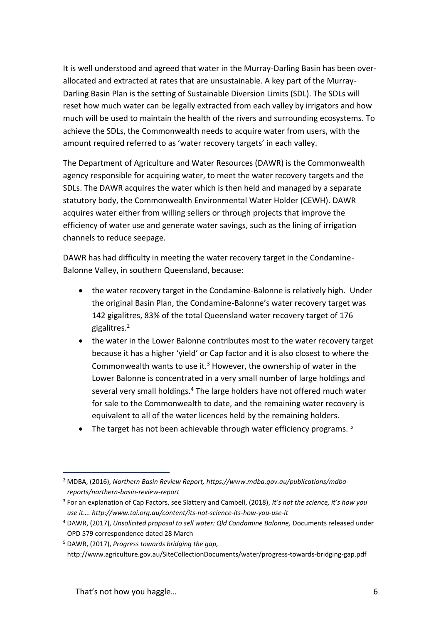It is well understood and agreed that water in the Murray-Darling Basin has been overallocated and extracted at rates that are unsustainable. A key part of the Murray-Darling Basin Plan is the setting of Sustainable Diversion Limits (SDL). The SDLs will reset how much water can be legally extracted from each valley by irrigators and how much will be used to maintain the health of the rivers and surrounding ecosystems. To achieve the SDLs, the Commonwealth needs to acquire water from users, with the amount required referred to as 'water recovery targets' in each valley.

The Department of Agriculture and Water Resources (DAWR) is the Commonwealth agency responsible for acquiring water, to meet the water recovery targets and the SDLs. The DAWR acquires the water which is then held and managed by a separate statutory body, the Commonwealth Environmental Water Holder (CEWH). DAWR acquires water either from willing sellers or through projects that improve the efficiency of water use and generate water savings, such as the lining of irrigation channels to reduce seepage.

DAWR has had difficulty in meeting the water recovery target in the Condamine-Balonne Valley, in southern Queensland, because:

- the water recovery target in the Condamine-Balonne is relatively high. Under the original Basin Plan, the Condamine-Balonne's water recovery target was 142 gigalitres, 83% of the total Queensland water recovery target of 176 gigalitres.<sup>2</sup>
- the water in the Lower Balonne contributes most to the water recovery target because it has a higher 'yield' or Cap factor and it is also closest to where the Commonwealth wants to use it.<sup>3</sup> However, the ownership of water in the Lower Balonne is concentrated in a very small number of large holdings and several very small holdings.<sup>4</sup> The large holders have not offered much water for sale to the Commonwealth to date, and the remaining water recovery is equivalent to all of the water licences held by the remaining holders.
- $\bullet$  The target has not been achievable through water efficiency programs. <sup>5</sup>

<sup>1</sup> <sup>2</sup> MDBA, (2016), *Northern Basin Review Report, https://www.mdba.gov.au/publications/mdbareports/northern-basin-review-report*

<sup>3</sup> For an explanation of Cap Factors, see Slattery and Cambell, (2018), *It's not the science, it's how you use it…. http://www.tai.org.au/content/its-not-science-its-how-you-use-it*

<sup>4</sup> DAWR, (2017), *Unsolicited proposal to sell water: Qld Condamine Balonne,* Documents released under OPD 579 correspondence dated 28 March

<sup>5</sup> DAWR, (2017), *Progress towards bridging the gap,* 

http://www.agriculture.gov.au/SiteCollectionDocuments/water/progress-towards-bridging-gap.pdf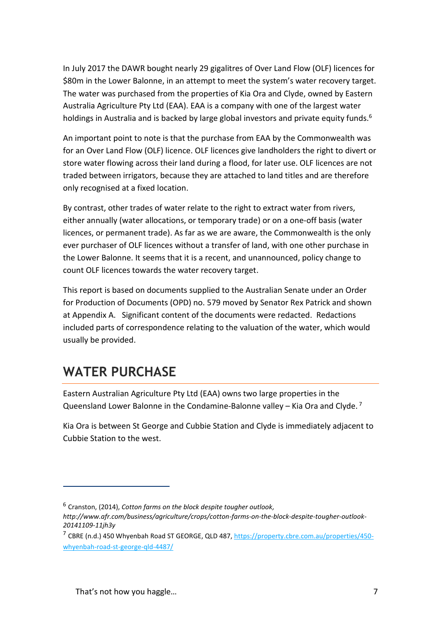In July 2017 the DAWR bought nearly 29 gigalitres of Over Land Flow (OLF) licences for \$80m in the Lower Balonne, in an attempt to meet the system's water recovery target. The water was purchased from the properties of Kia Ora and Clyde, owned by Eastern Australia Agriculture Pty Ltd (EAA). EAA is a company with one of the largest water holdings in Australia and is backed by large global investors and private equity funds.<sup>6</sup>

An important point to note is that the purchase from EAA by the Commonwealth was for an Over Land Flow (OLF) licence. OLF licences give landholders the right to divert or store water flowing across their land during a flood, for later use. OLF licences are not traded between irrigators, because they are attached to land titles and are therefore only recognised at a fixed location.

By contrast, other trades of water relate to the right to extract water from rivers, either annually (water allocations, or temporary trade) or on a one-off basis (water licences, or permanent trade). As far as we are aware, the Commonwealth is the only ever purchaser of OLF licences without a transfer of land, with one other purchase in the Lower Balonne. It seems that it is a recent, and unannounced, policy change to count OLF licences towards the water recovery target.

This report is based on documents supplied to the Australian Senate under an Order for Production of Documents (OPD) no. 579 moved by Senator Rex Patrick and shown at Appendix A. Significant content of the documents were redacted. Redactions included parts of correspondence relating to the valuation of the water, which would usually be provided.

# **WATER PURCHASE**

1

Eastern Australian Agriculture Pty Ltd (EAA) owns two large properties in the Queensland Lower Balonne in the Condamine-Balonne valley – Kia Ora and Clyde. <sup>7</sup>

Kia Ora is between St George and Cubbie Station and Clyde is immediately adjacent to Cubbie Station to the west.

<sup>6</sup> Cranston, (2014), *Cotton farms on the block despite tougher outlook,* 

*http://www.afr.com/business/agriculture/crops/cotton-farms-on-the-block-despite-tougher-outlook-20141109-11jh3y*

<sup>7</sup> CBRE (n.d.) 450 Whyenbah Road ST GEORGE, QLD 487, [https://property.cbre.com.au/properties/450](https://property.cbre.com.au/properties/450-whyenbah-road-st-george-qld-4487/) [whyenbah-road-st-george-qld-4487/](https://property.cbre.com.au/properties/450-whyenbah-road-st-george-qld-4487/)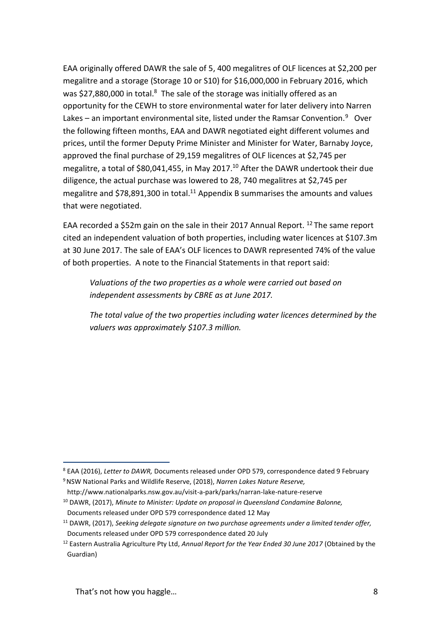EAA originally offered DAWR the sale of 5, 400 megalitres of OLF licences at \$2,200 per megalitre and a storage (Storage 10 or S10) for \$16,000,000 in February 2016, which was \$27,880,000 in total.<sup>8</sup> The sale of the storage was initially offered as an opportunity for the CEWH to store environmental water for later delivery into Narren Lakes  $-$  an important environmental site, listed under the Ramsar Convention.<sup>9</sup> Over the following fifteen months, EAA and DAWR negotiated eight different volumes and prices, until the former Deputy Prime Minister and Minister for Water, Barnaby Joyce, approved the final purchase of 29,159 megalitres of OLF licences at \$2,745 per megalitre, a total of \$80,041,455, in May 2017.<sup>10</sup> After the DAWR undertook their due diligence, the actual purchase was lowered to 28, 740 megalitres at \$2,745 per megalitre and \$78,891,300 in total. <sup>11</sup> Appendix B summarises the amounts and values that were negotiated.

EAA recorded a \$52m gain on the sale in their 2017 Annual Report. <sup>12</sup> The same report cited an independent valuation of both properties, including water licences at \$107.3m at 30 June 2017. The sale of EAA's OLF licences to DAWR represented 74% of the value of both properties. A note to the Financial Statements in that report said:

*Valuations of the two properties as a whole were carried out based on independent assessments by CBRE as at June 2017.*

*The total value of the two properties including water licences determined by the valuers was approximately \$107.3 million.*

<sup>8</sup> EAA (2016), *Letter to DAWR,* Documents released under OPD 579, correspondence dated 9 February

<sup>9</sup>NSW National Parks and Wildlife Reserve, (2018), *Narren Lakes Nature Reserve,* 

http://www.nationalparks.nsw.gov.au/visit-a-park/parks/narran-lake-nature-reserve <sup>10</sup> DAWR, (2017), *Minute to Minister: Update on proposal in Queensland Condamine Balonne,*  Documents released under OPD 579 correspondence dated 12 May

<sup>11</sup> DAWR, (2017), *Seeking delegate signature on two purchase agreements under a limited tender offer,*  Documents released under OPD 579 correspondence dated 20 July

<sup>12</sup> Eastern Australia Agriculture Pty Ltd, *Annual Report for the Year Ended 30 June 2017* (Obtained by the Guardian)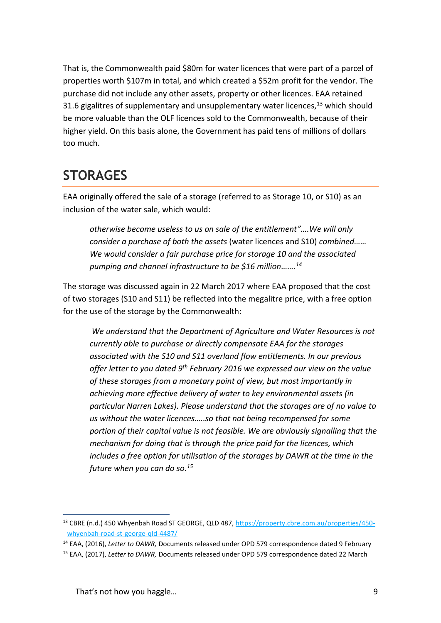That is, the Commonwealth paid \$80m for water licences that were part of a parcel of properties worth \$107m in total, and which created a \$52m profit for the vendor. The purchase did not include any other assets, property or other licences. EAA retained 31.6 gigalitres of supplementary and unsupplementary water licences, $^{13}$  which should be more valuable than the OLF licences sold to the Commonwealth, because of their higher yield. On this basis alone, the Government has paid tens of millions of dollars too much.

# **STORAGES**

EAA originally offered the sale of a storage (referred to as Storage 10, or S10) as an inclusion of the water sale, which would:

*otherwise become useless to us on sale of the entitlement"….We will only consider a purchase of both the assets* (water licences and S10) *combined…… We would consider a fair purchase price for storage 10 and the associated pumping and channel infrastructure to be \$16 million……. 14*

The storage was discussed again in 22 March 2017 where EAA proposed that the cost of two storages (S10 and S11) be reflected into the megalitre price, with a free option for the use of the storage by the Commonwealth:

*We understand that the Department of Agriculture and Water Resources is not currently able to purchase or directly compensate EAA for the storages associated with the S10 and S11 overland flow entitlements. In our previous offer letter to you dated 9th February 2016 we expressed our view on the value of these storages from a monetary point of view, but most importantly in achieving more effective delivery of water to key environmental assets (in particular Narren Lakes). Please understand that the storages are of no value to us without the water licences…..so that not being recompensed for some portion of their capital value is not feasible. We are obviously signalling that the mechanism for doing that is through the price paid for the licences, which includes a free option for utilisation of the storages by DAWR at the time in the future when you can do so.<sup>15</sup>*

<sup>1</sup> <sup>13</sup> CBRE (n.d.) 450 Whyenbah Road ST GEORGE, QLD 487, [https://property.cbre.com.au/properties/450](https://property.cbre.com.au/properties/450-whyenbah-road-st-george-qld-4487/) [whyenbah-road-st-george-qld-4487/](https://property.cbre.com.au/properties/450-whyenbah-road-st-george-qld-4487/)

<sup>14</sup> EAA, (2016), *Letter to DAWR,* Documents released under OPD 579 correspondence dated 9 February

<sup>15</sup> EAA, (2017), *Letter to DAWR,* Documents released under OPD 579 correspondence dated 22 March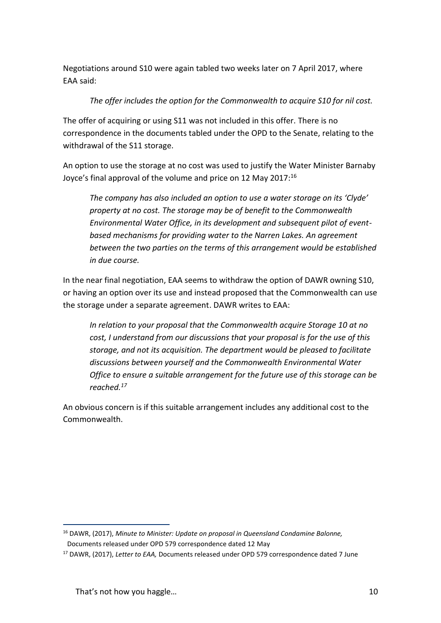Negotiations around S10 were again tabled two weeks later on 7 April 2017, where EAA said:

### *The offer includes the option for the Commonwealth to acquire S10 for nil cost.*

The offer of acquiring or using S11 was not included in this offer. There is no correspondence in the documents tabled under the OPD to the Senate, relating to the withdrawal of the S11 storage.

An option to use the storage at no cost was used to justify the Water Minister Barnaby Joyce's final approval of the volume and price on 12 May 2017:<sup>16</sup>

*The company has also included an option to use a water storage on its 'Clyde' property at no cost. The storage may be of benefit to the Commonwealth Environmental Water Office, in its development and subsequent pilot of eventbased mechanisms for providing water to the Narren Lakes. An agreement between the two parties on the terms of this arrangement would be established in due course.*

In the near final negotiation, EAA seems to withdraw the option of DAWR owning S10, or having an option over its use and instead proposed that the Commonwealth can use the storage under a separate agreement. DAWR writes to EAA:

*In relation to your proposal that the Commonwealth acquire Storage 10 at no cost, I understand from our discussions that your proposal is for the use of this storage, and not its acquisition. The department would be pleased to facilitate discussions between yourself and the Commonwealth Environmental Water Office to ensure a suitable arrangement for the future use of this storage can be reached.<sup>17</sup>* 

An obvious concern is if this suitable arrangement includes any additional cost to the Commonwealth.

<sup>1</sup> <sup>16</sup> DAWR, (2017), *Minute to Minister: Update on proposal in Queensland Condamine Balonne,*  Documents released under OPD 579 correspondence dated 12 May

<sup>17</sup> DAWR, (2017), *Letter to EAA,* Documents released under OPD 579 correspondence dated 7 June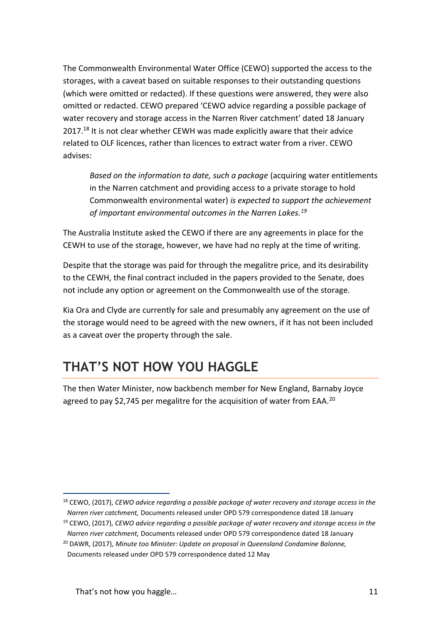The Commonwealth Environmental Water Office (CEWO) supported the access to the storages, with a caveat based on suitable responses to their outstanding questions (which were omitted or redacted). If these questions were answered, they were also omitted or redacted. CEWO prepared 'CEWO advice regarding a possible package of water recovery and storage access in the Narren River catchment' dated 18 January 2017.<sup>18</sup> It is not clear whether CEWH was made explicitly aware that their advice related to OLF licences, rather than licences to extract water from a river. CEWO advises:

*Based on the information to date, such a package* (acquiring water entitlements in the Narren catchment and providing access to a private storage to hold Commonwealth environmental water) *is expected to support the achievement of important environmental outcomes in the Narren Lakes.<sup>19</sup>*

The Australia Institute asked the CEWO if there are any agreements in place for the CEWH to use of the storage, however, we have had no reply at the time of writing.

Despite that the storage was paid for through the megalitre price, and its desirability to the CEWH, the final contract included in the papers provided to the Senate, does not include any option or agreement on the Commonwealth use of the storage.

Kia Ora and Clyde are currently for sale and presumably any agreement on the use of the storage would need to be agreed with the new owners, if it has not been included as a caveat over the property through the sale.

# **THAT'S NOT HOW YOU HAGGLE**

The then Water Minister, now backbench member for New England, Barnaby Joyce agreed to pay \$2,745 per megalitre for the acquisition of water from EAA.<sup>20</sup>

<sup>1</sup> <sup>18</sup> CEWO, (2017), *CEWO advice regarding a possible package of water recovery and storage access in the Narren river catchment,* Documents released under OPD 579 correspondence dated 18 January

<sup>19</sup> CEWO, (2017), *CEWO advice regarding a possible package of water recovery and storage access in the Narren river catchment,* Documents released under OPD 579 correspondence dated 18 January

<sup>20</sup> DAWR, (2017), *Minute too Minister: Update on proposal in Queensland Condamine Balonne,*  Documents released under OPD 579 correspondence dated 12 May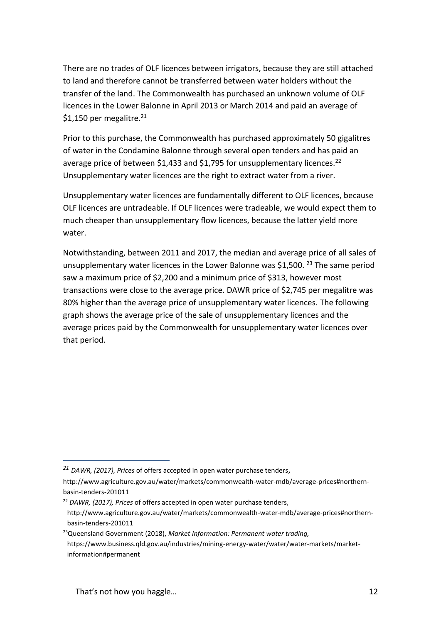There are no trades of OLF licences between irrigators, because they are still attached to land and therefore cannot be transferred between water holders without the transfer of the land. The Commonwealth has purchased an unknown volume of OLF licences in the Lower Balonne in April 2013 or March 2014 and paid an average of \$1,150 per megalitre.<sup>21</sup>

Prior to this purchase, the Commonwealth has purchased approximately 50 gigalitres of water in the Condamine Balonne through several open tenders and has paid an average price of between \$1,433 and \$1,795 for unsupplementary licences.<sup>22</sup> Unsupplementary water licences are the right to extract water from a river.

Unsupplementary water licences are fundamentally different to OLF licences, because OLF licences are untradeable. If OLF licences were tradeable, we would expect them to much cheaper than unsupplementary flow licences, because the latter yield more water.

Notwithstanding, between 2011 and 2017, the median and average price of all sales of unsupplementary water licences in the Lower Balonne was \$1,500. <sup>23</sup> The same period saw a maximum price of \$2,200 and a minimum price of \$313, however most transactions were close to the average price. DAWR price of \$2,745 per megalitre was 80% higher than the average price of unsupplementary water licences. The following graph shows the average price of the sale of unsupplementary licences and the average prices paid by the Commonwealth for unsupplementary water licences over that period.

*<sup>21</sup> DAWR, (2017), Prices* of offers accepted in open water purchase tenders,

[http://www.agriculture.gov.au/water/markets/commonwealth-water-mdb/average-prices#northern](http://www.agriculture.gov.au/water/markets/commonwealth-water-mdb/average-prices#northern-basin-tenders-201011)[basin-tenders-201011](http://www.agriculture.gov.au/water/markets/commonwealth-water-mdb/average-prices#northern-basin-tenders-201011)

<sup>22</sup> *DAWR, (2017), Prices* of offers accepted in open water purchase tenders,

[http://www.agriculture.gov.au/water/markets/commonwealth-water-mdb/average-prices#northern](http://www.agriculture.gov.au/water/markets/commonwealth-water-mdb/average-prices#northern-basin-tenders-201011)[basin-tenders-201011](http://www.agriculture.gov.au/water/markets/commonwealth-water-mdb/average-prices#northern-basin-tenders-201011)

<sup>23</sup>Queensland Government (2018), *Market Information: Permanent water trading,*  https://www.business.qld.gov.au/industries/mining-energy-water/water/water-markets/marketinformation#permanent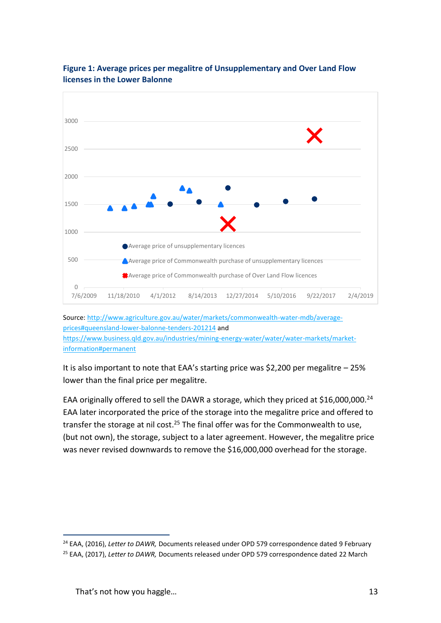

### **Figure 1: Average prices per megalitre of Unsupplementary and Over Land Flow licenses in the Lower Balonne**

Source: [http://www.agriculture.gov.au/water/markets/commonwealth-water-mdb/average](http://www.agriculture.gov.au/water/markets/commonwealth-water-mdb/average-prices#queensland-lower-balonne-tenders-201214)[prices#queensland-lower-balonne-tenders-201214](http://www.agriculture.gov.au/water/markets/commonwealth-water-mdb/average-prices#queensland-lower-balonne-tenders-201214) and [https://www.business.qld.gov.au/industries/mining-energy-water/water/water-markets/market](https://www.business.qld.gov.au/industries/mining-energy-water/water/water-markets/market-information#permanent)[information#permanent](https://www.business.qld.gov.au/industries/mining-energy-water/water/water-markets/market-information#permanent)

It is also important to note that EAA's starting price was \$2,200 per megalitre – 25% lower than the final price per megalitre.

EAA originally offered to sell the DAWR a storage, which they priced at \$16,000,000.<sup>24</sup> EAA later incorporated the price of the storage into the megalitre price and offered to transfer the storage at nil cost.<sup>25</sup> The final offer was for the Commonwealth to use, (but not own), the storage, subject to a later agreement. However, the megalitre price was never revised downwards to remove the \$16,000,000 overhead for the storage.

<sup>&</sup>lt;sup>24</sup> EAA, (2016), *Letter to DAWR, Documents released under OPD 579 correspondence dated 9 February* 

<sup>25</sup> EAA, (2017), *Letter to DAWR,* Documents released under OPD 579 correspondence dated 22 March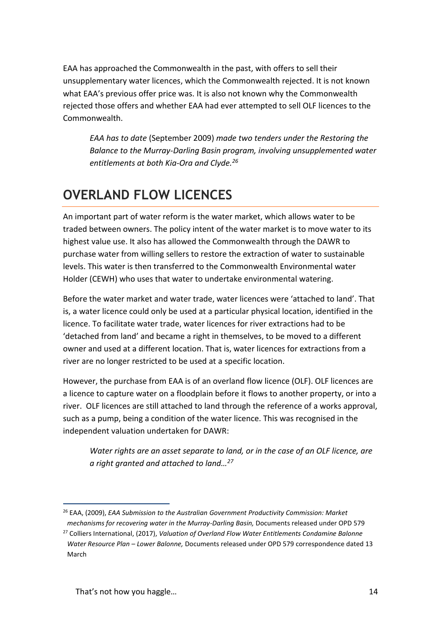EAA has approached the Commonwealth in the past, with offers to sell their unsupplementary water licences, which the Commonwealth rejected. It is not known what EAA's previous offer price was. It is also not known why the Commonwealth rejected those offers and whether EAA had ever attempted to sell OLF licences to the Commonwealth.

*EAA has to date* (September 2009) *made two tenders under the Restoring the Balance to the Murray-Darling Basin program, involving unsupplemented water entitlements at both Kia-Ora and Clyde.<sup>26</sup>*

# **OVERLAND FLOW LICENCES**

An important part of water reform is the water market, which allows water to be traded between owners. The policy intent of the water market is to move water to its highest value use. It also has allowed the Commonwealth through the DAWR to purchase water from willing sellers to restore the extraction of water to sustainable levels. This water is then transferred to the Commonwealth Environmental water Holder (CEWH) who uses that water to undertake environmental watering.

Before the water market and water trade, water licences were 'attached to land'. That is, a water licence could only be used at a particular physical location, identified in the licence. To facilitate water trade, water licences for river extractions had to be 'detached from land' and became a right in themselves, to be moved to a different owner and used at a different location. That is, water licences for extractions from a river are no longer restricted to be used at a specific location.

However, the purchase from EAA is of an overland flow licence (OLF). OLF licences are a licence to capture water on a floodplain before it flows to another property, or into a river. OLF licences are still attached to land through the reference of a works approval, such as a pump, being a condition of the water licence. This was recognised in the independent valuation undertaken for DAWR:

*Water rights are an asset separate to land, or in the case of an OLF licence, are a right granted and attached to land…<sup>27</sup>*

<sup>1</sup> <sup>26</sup> EAA, (2009), *EAA Submission to the Australian Government Productivity Commission: Market mechanisms for recovering water in the Murray-Darling Basin,* Documents released under OPD 579

<sup>27</sup> Colliers International, (2017), *Valuation of Overland Flow Water Entitlements Condamine Balonne Water Resource Plan – Lower Balonne,* Documents released under OPD 579 correspondence dated 13 March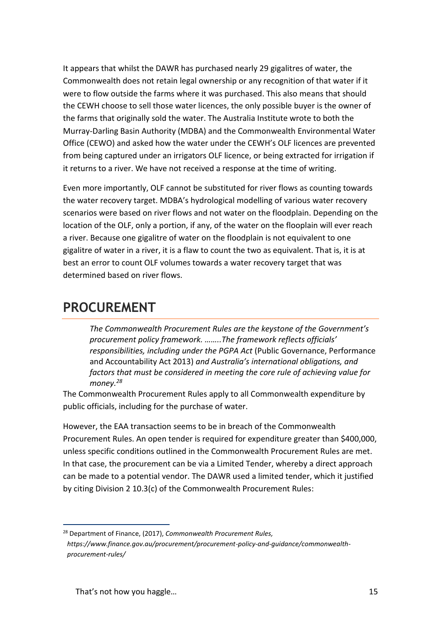It appears that whilst the DAWR has purchased nearly 29 gigalitres of water, the Commonwealth does not retain legal ownership or any recognition of that water if it were to flow outside the farms where it was purchased. This also means that should the CEWH choose to sell those water licences, the only possible buyer is the owner of the farms that originally sold the water. The Australia Institute wrote to both the Murray-Darling Basin Authority (MDBA) and the Commonwealth Environmental Water Office (CEWO) and asked how the water under the CEWH's OLF licences are prevented from being captured under an irrigators OLF licence, or being extracted for irrigation if it returns to a river. We have not received a response at the time of writing.

Even more importantly, OLF cannot be substituted for river flows as counting towards the water recovery target. MDBA's hydrological modelling of various water recovery scenarios were based on river flows and not water on the floodplain. Depending on the location of the OLF, only a portion, if any, of the water on the flooplain will ever reach a river. Because one gigalitre of water on the floodplain is not equivalent to one gigalitre of water in a river, it is a flaw to count the two as equivalent. That is, it is at best an error to count OLF volumes towards a water recovery target that was determined based on river flows.

### **PROCUREMENT**

*The Commonwealth Procurement Rules are the keystone of the Government's procurement policy framework. ……..The framework reflects officials' responsibilities, including under the PGPA Act* (Public Governance, Performance and Accountability Act 2013) *and Australia's international obligations, and factors that must be considered in meeting the core rule of achieving value for money.<sup>28</sup>*

The Commonwealth Procurement Rules apply to all Commonwealth expenditure by public officials, including for the purchase of water.

However, the EAA transaction seems to be in breach of the Commonwealth Procurement Rules. An open tender is required for expenditure greater than \$400,000, unless specific conditions outlined in the Commonwealth Procurement Rules are met. In that case, the procurement can be via a Limited Tender, whereby a direct approach can be made to a potential vendor. The DAWR used a limited tender, which it justified by citing Division 2 10.3(c) of the Commonwealth Procurement Rules:

<sup>28</sup> Department of Finance, (2017), *Commonwealth Procurement Rules, https://www.finance.gov.au/procurement/procurement-policy-and-guidance/commonwealthprocurement-rules/*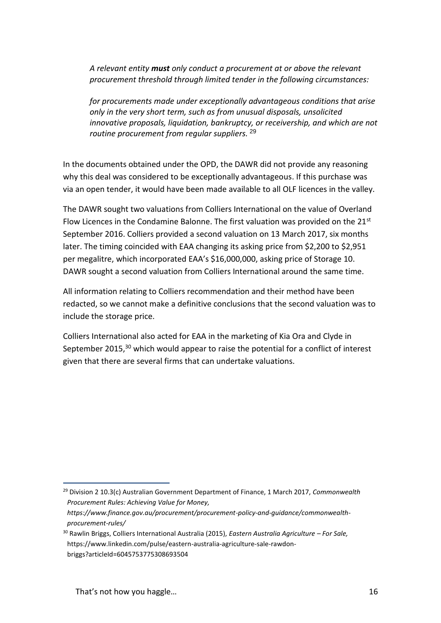*A relevant entity must only conduct a procurement at or above the relevant procurement threshold through limited tender in the following circumstances:* 

*for procurements made under exceptionally advantageous conditions that arise only in the very short term, such as from unusual disposals, unsolicited innovative proposals, liquidation, bankruptcy, or receivership, and which are not routine procurement from regular suppliers.* 29

In the documents obtained under the OPD, the DAWR did not provide any reasoning why this deal was considered to be exceptionally advantageous. If this purchase was via an open tender, it would have been made available to all OLF licences in the valley.

The DAWR sought two valuations from Colliers International on the value of Overland Flow Licences in the Condamine Balonne. The first valuation was provided on the 21<sup>st</sup> September 2016. Colliers provided a second valuation on 13 March 2017, six months later. The timing coincided with EAA changing its asking price from \$2,200 to \$2,951 per megalitre, which incorporated EAA's \$16,000,000, asking price of Storage 10. DAWR sought a second valuation from Colliers International around the same time.

All information relating to Colliers recommendation and their method have been redacted, so we cannot make a definitive conclusions that the second valuation was to include the storage price.

Colliers International also acted for EAA in the marketing of Kia Ora and Clyde in September 2015, $30$  which would appear to raise the potential for a conflict of interest given that there are several firms that can undertake valuations.

<sup>29</sup> Division 2 10.3(c) Australian Government Department of Finance, 1 March 2017, *Commonwealth Procurement Rules: Achieving Value for Money,* 

*https://www.finance.gov.au/procurement/procurement-policy-and-guidance/commonwealthprocurement-rules/*

<sup>30</sup> Rawlin Briggs, Colliers International Australia (2015), *Eastern Australia Agriculture – For Sale,*  https://www.linkedin.com/pulse/eastern-australia-agriculture-sale-rawdonbriggs?articleId=6045753775308693504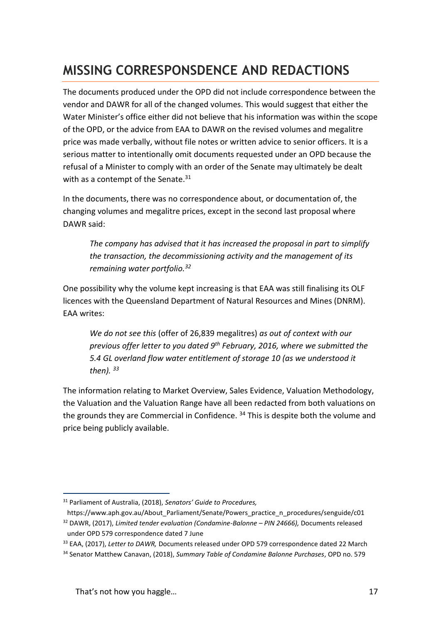# **MISSING CORRESPONSDENCE AND REDACTIONS**

The documents produced under the OPD did not include correspondence between the vendor and DAWR for all of the changed volumes. This would suggest that either the Water Minister's office either did not believe that his information was within the scope of the OPD, or the advice from EAA to DAWR on the revised volumes and megalitre price was made verbally, without file notes or written advice to senior officers. It is a serious matter to intentionally omit documents requested under an OPD because the refusal of a Minister to comply with an order of the Senate may ultimately be dealt with as a contempt of the Senate. $31$ 

In the documents, there was no correspondence about, or documentation of, the changing volumes and megalitre prices, except in the second last proposal where DAWR said:

*The company has advised that it has increased the proposal in part to simplify the transaction, the decommissioning activity and the management of its remaining water portfolio. 32*

One possibility why the volume kept increasing is that EAA was still finalising its OLF licences with the Queensland Department of Natural Resources and Mines (DNRM). EAA writes:

*We do not see this* (offer of 26,839 megalitres) *as out of context with our previous offer letter to you dated 9th February, 2016, where we submitted the 5.4 GL overland flow water entitlement of storage 10 (as we understood it then). <sup>33</sup>*

The information relating to Market Overview, Sales Evidence, Valuation Methodology, the Valuation and the Valuation Range have all been redacted from both valuations on the grounds they are Commercial in Confidence. <sup>34</sup> This is despite both the volume and price being publicly available.

<sup>31</sup> Parliament of Australia, (2018), *Senators' Guide to Procedures,* 

https://www.aph.gov.au/About\_Parliament/Senate/Powers\_practice\_n\_procedures/senguide/c01 <sup>32</sup> DAWR, (2017), *Limited tender evaluation (Condamine-Balonne – PIN 24666),* Documents released under OPD 579 correspondence dated 7 June

<sup>33</sup> EAA, (2017), *Letter to DAWR,* Documents released under OPD 579 correspondence dated 22 March

<sup>34</sup> Senator Matthew Canavan, (2018), *Summary Table of Condamine Balonne Purchases*, OPD no. 579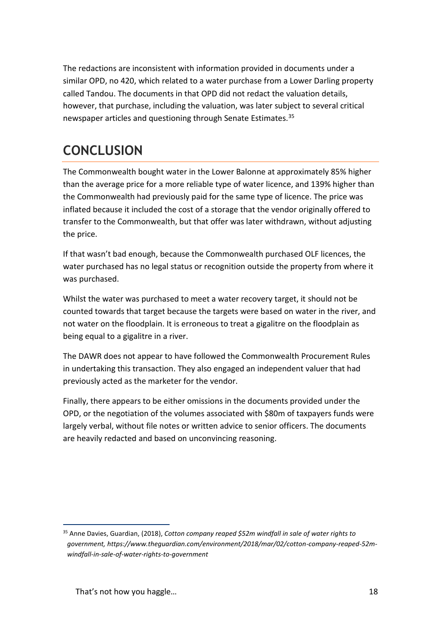The redactions are inconsistent with information provided in documents under a similar OPD, no 420, which related to a water purchase from a Lower Darling property called Tandou. The documents in that OPD did not redact the valuation details, however, that purchase, including the valuation, was later subject to several critical newspaper articles and questioning through Senate Estimates.<sup>35</sup>

# **CONCLUSION**

The Commonwealth bought water in the Lower Balonne at approximately 85% higher than the average price for a more reliable type of water licence, and 139% higher than the Commonwealth had previously paid for the same type of licence. The price was inflated because it included the cost of a storage that the vendor originally offered to transfer to the Commonwealth, but that offer was later withdrawn, without adjusting the price.

If that wasn't bad enough, because the Commonwealth purchased OLF licences, the water purchased has no legal status or recognition outside the property from where it was purchased.

Whilst the water was purchased to meet a water recovery target, it should not be counted towards that target because the targets were based on water in the river, and not water on the floodplain. It is erroneous to treat a gigalitre on the floodplain as being equal to a gigalitre in a river.

The DAWR does not appear to have followed the Commonwealth Procurement Rules in undertaking this transaction. They also engaged an independent valuer that had previously acted as the marketer for the vendor.

Finally, there appears to be either omissions in the documents provided under the OPD, or the negotiation of the volumes associated with \$80m of taxpayers funds were largely verbal, without file notes or written advice to senior officers. The documents are heavily redacted and based on unconvincing reasoning.

<sup>35</sup> Anne Davies, Guardian, (2018), *Cotton company reaped \$52m windfall in sale of water rights to government, https://www.theguardian.com/environment/2018/mar/02/cotton-company-reaped-52mwindfall-in-sale-of-water-rights-to-government*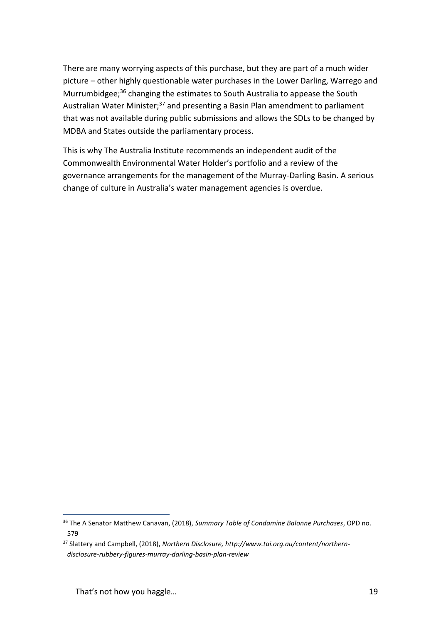There are many worrying aspects of this purchase, but they are part of a much wider picture – other highly questionable water purchases in the Lower Darling, Warrego and Murrumbidgee;<sup>36</sup> changing the estimates to South Australia to appease the South Australian Water Minister;<sup>37</sup> and presenting a Basin Plan amendment to parliament that was not available during public submissions and allows the SDLs to be changed by MDBA and States outside the parliamentary process.

This is why The Australia Institute recommends an independent audit of the Commonwealth Environmental Water Holder's portfolio and a review of the governance arrangements for the management of the Murray-Darling Basin. A serious change of culture in Australia's water management agencies is overdue.

<sup>36</sup> The A Senator Matthew Canavan, (2018), *Summary Table of Condamine Balonne Purchases*, OPD no. 579

<sup>37</sup> Slattery and Campbell, (2018), *Northern Disclosure, http://www.tai.org.au/content/northerndisclosure-rubbery-figures-murray-darling-basin-plan-review*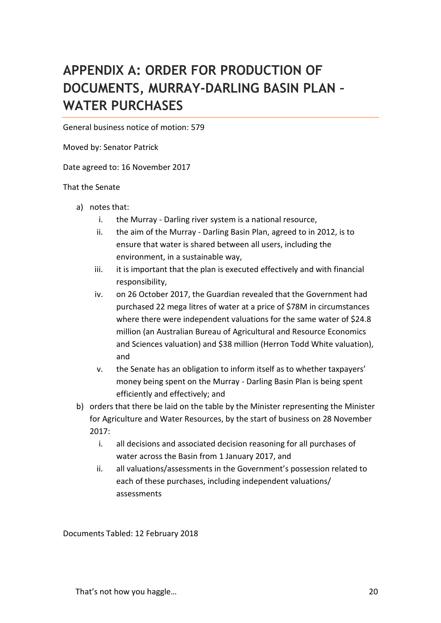# **APPENDIX A: ORDER FOR PRODUCTION OF DOCUMENTS, MURRAY-DARLING BASIN PLAN – WATER PURCHASES**

General business notice of motion: 579

Moved by: Senator Patrick

Date agreed to: 16 November 2017

#### That the Senate

- a) notes that:
	- i. the Murray Darling river system is a national resource,
	- ii. the aim of the Murray Darling Basin Plan, agreed to in 2012, is to ensure that water is shared between all users, including the environment, in a sustainable way,
	- iii. it is important that the plan is executed effectively and with financial responsibility,
	- iv. on 26 October 2017, the Guardian revealed that the Government had purchased 22 mega litres of water at a price of \$78M in circumstances where there were independent valuations for the same water of \$24.8 million (an Australian Bureau of Agricultural and Resource Economics and Sciences valuation) and \$38 million (Herron Todd White valuation), and
	- v. the Senate has an obligation to inform itself as to whether taxpayers' money being spent on the Murray - Darling Basin Plan is being spent efficiently and effectively; and
- b) orders that there be laid on the table by the Minister representing the Minister for Agriculture and Water Resources, by the start of business on 28 November 2017:
	- i. all decisions and associated decision reasoning for all purchases of water across the Basin from 1 January 2017, and
	- ii. all valuations/assessments in the Government's possession related to each of these purchases, including independent valuations/ assessments

Documents Tabled: 12 February 2018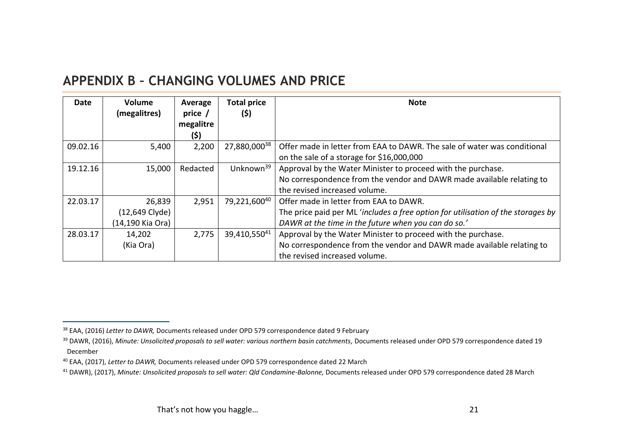### **APPENDIX B – CHANGING VOLUMES AND PRICE**

| Date     | Volume<br>(megalitres)                         | Average<br>price /<br>megalitre<br>(\$) | <b>Total price</b><br>(\$) | <b>Note</b>                                                                                                                                                                       |
|----------|------------------------------------------------|-----------------------------------------|----------------------------|-----------------------------------------------------------------------------------------------------------------------------------------------------------------------------------|
| 09.02.16 | 5,400                                          | 2,200                                   | 27,880,00038               | Offer made in letter from EAA to DAWR. The sale of water was conditional<br>on the sale of a storage for \$16,000,000                                                             |
| 19.12.16 | 15,000                                         | Redacted                                | Unknown <sup>39</sup>      | Approval by the Water Minister to proceed with the purchase.<br>No correspondence from the vendor and DAWR made available relating to<br>the revised increased volume.            |
| 22.03.17 | 26,839<br>$(12,649$ Clyde)<br>(14,190 Kia Ora) | 2,951                                   | 79,221,60040               | Offer made in letter from EAA to DAWR.<br>The price paid per ML 'includes a free option for utilisation of the storages by<br>DAWR at the time in the future when you can do so.' |
| 28.03.17 | 14,202<br>(Kia Ora)                            | 2,775                                   | 39,410,55041               | Approval by the Water Minister to proceed with the purchase.<br>No correspondence from the vendor and DAWR made available relating to<br>the revised increased volume.            |

 $\overline{a}$ 

<sup>38</sup> EAA, (2016) *Letter to DAWR,* Documents released under OPD 579 correspondence dated 9 February

<sup>&</sup>lt;sup>39</sup> DAWR, (2016), Minute: Unsolicited proposals to sell water: various northern basin catchments, Documents released under OPD 579 correspondence dated 19 December

<sup>40</sup> EAA, (2017), *Letter to DAWR,* Documents released under OPD 579 correspondence dated 22 March

<sup>41</sup> DAWR), (2017), *Minute: Unsolicited proposals to sell water: Qld Condamine-Balonne,* Documents released under OPD 579 correspondence dated 28 March